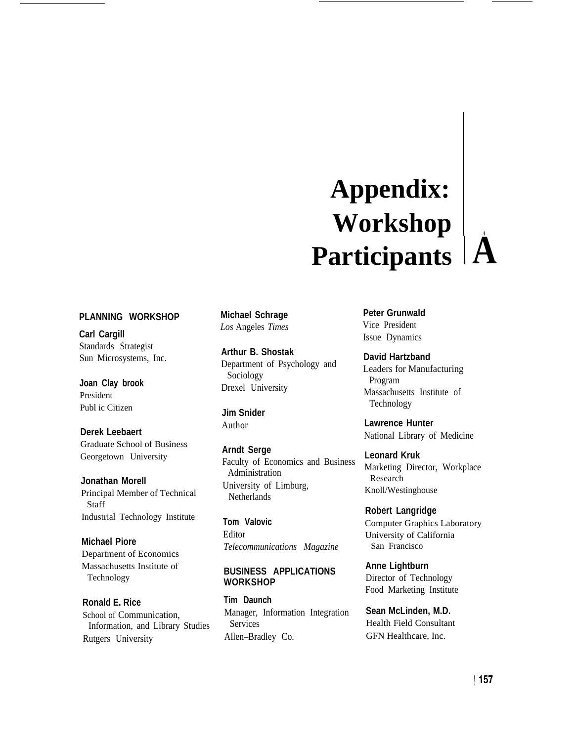# **Appendix: Workshop . Participants A**

## **PLANNING WORKSHOP**

**Carl Cargill** Standards Strategist Sun Microsystems, Inc.

**Joan Clay brook** President Publ ic Citizen

**Derek Leebaert** Graduate School of Business Georgetown University

**Jonathan Morell** Principal Member of Technical Staff Industrial Technology Institute

**Michael Piore** Department of Economics Massachusetts Institute of Technology

**Ronald E. Rice** School of Communication, Information, and Library Studies Rutgers University

**Michael Schrage** *Los* Angeles *Times*

**Arthur B. Shostak** Department of Psychology and Sociology Drexel University

**Jim Snider** Author

**Arndt Serge** Faculty of Economics and Business Administration University of Limburg, Netherlands

**Tom Valovic** Editor *Telecommunications Magazine*

# **BUSINESS APPLICATIONS WORKSHOP**

**Tim Daunch** Manager, Information Integration Services Allen–Bradley Co.

**Peter Grunwald** Vice President Issue Dynamics

**David Hartzband** Leaders for Manufacturing Program Massachusetts Institute of Technology

**Lawrence Hunter** National Library of Medicine

**Leonard Kruk** Marketing Director, Workplace Research Knoll/Westinghouse

**Robert Langridge** Computer Graphics Laboratory University of California San Francisco

**Anne Lightburn** Director of Technology Food Marketing Institute

**Sean McLinden, M.D.** Health Field Consultant GFN Healthcare, Inc.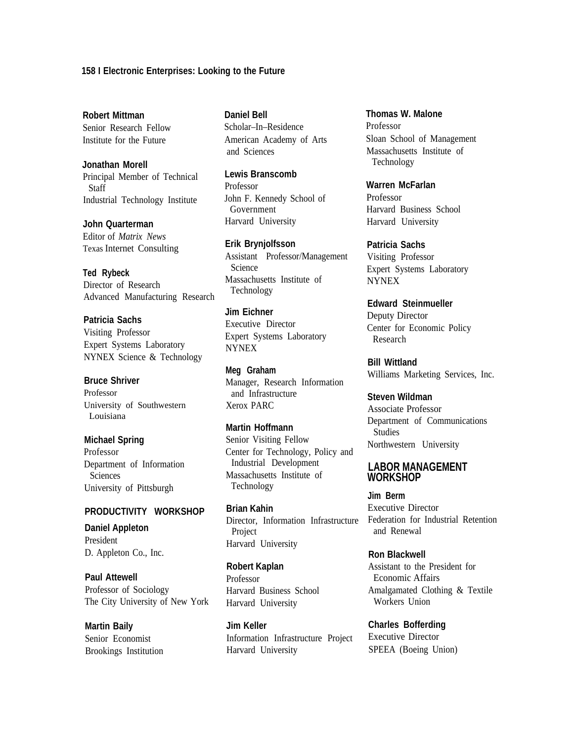#### **158 I Electronic Enterprises: Looking to the Future**

**Robert Mittman** Senior Research Fellow Institute for the Future

**Jonathan Morell** Principal Member of Technical Staff Industrial Technology Institute

**John Quarterman** Editor of *Matrix News* Texas Internet Consulting

**Ted Rybeck** Director of Research Advanced Manufacturing Research

**Patricia Sachs** Visiting Professor Expert Systems Laboratory NYNEX Science & Technology

# **Bruce Shriver**

Professor University of Southwestern Louisiana

**Michael Spring** Professor

Department of Information Sciences University of Pittsburgh

#### **PRODUCTIVITY WORKSHOP**

**Daniel Appleton** President D. Appleton Co., Inc.

**Paul Attewell** Professor of Sociology The City University of New York

**Daniel Bell** Scholar–In–Residence American Academy of Arts and Sciences

**Lewis Branscomb** Professor John F. Kennedy School of Government Harvard University

**Erik Brynjolfsson** Assistant Professor/Management Science Massachusetts Institute of Technology

**Jim Eichner** Executive Director Expert Systems Laboratory NYNEX

**Meg Graham** Manager, Research Information and Infrastructure Xerox PARC

**Martin Hoffmann** Senior Visiting Fellow Center for Technology, Policy and Industrial Development Massachusetts Institute of Technology

**Brian Kahin** Director, Information Infrastructure Project Harvard University

**Robert Kaplan** Professor Harvard Business School Harvard University

**Martin Baily**<br> **Jim Keller**<br> **Gharles Bofferding**<br> **Gharles Bofferding**<br> **Information Infrastructure Project** Executive Director Senior Economist Information Infrastructure Project Brookings Institution Harvard University SPEEA (Boeing Union)

**Thomas W. Malone** Professor Sloan School of Management Massachusetts Institute of Technology

**Warren McFarlan** Professor Harvard Business School Harvard University

**Patricia Sachs** Visiting Professor Expert Systems Laboratory NYNEX

**Edward Steinmueller** Deputy Director Center for Economic Policy Research

**Bill Wittland** Williams Marketing Services, Inc.

**Steven Wildman** Associate Professor Department of Communications Studies Northwestern University

## **LABOR MANAGEMENT WORKSHOP**

**Jim Berm** Executive Director Federation for Industrial Retention and Renewal

**Ron Blackwell** Assistant to the President for Economic Affairs Amalgamated Clothing & Textile Workers Union